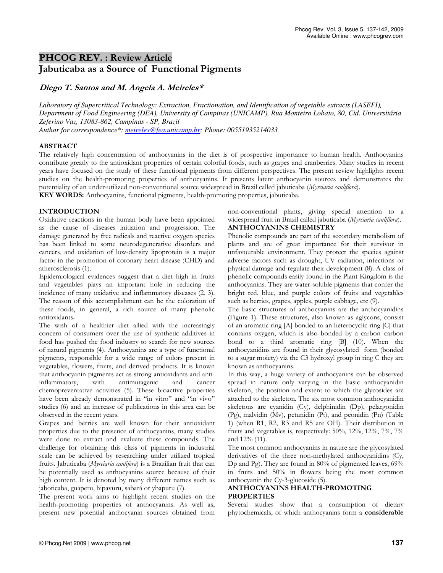## PHCOG REV. : Review Article Jabuticaba as a Source of Functional Pigments

## Diego T. Santos and M. Angela A. Meireles\*

*Laboratory of Supercritical Technology: Extraction, Fractionation, and Identification of vegetable extracts (LASEFI), Department of Food Engineering (DEA), University of Campinas (UNICAMP), Rua Monteiro Lobato, 80, Cid. Universitária Zeferino Vaz, 13083-862, Campinas - SP, Brazil Author for correspondence\*: meireles@fea.unicamp.br; Phone: 00551935214033*

## ABSTRACT

The relatively high concentration of anthocyanins in the diet is of prospective importance to human health. Anthocyanins contribute greatly to the antioxidant properties of certain colorful foods, such as grapes and cranberries. Many studies in recent years have focused on the study of these functional pigments from different perspectives. The present review highlights recent studies on the health-promoting properties of anthocyanins. It presents latent anthocyanin sources and demonstrates the potentiality of an under-utilized non-conventional source widespread in Brazil called jabuticaba (Myrciaria cauliflora).

KEY WORDS: Anthocyanins, functional pigments, health-promoting properties, jabuticaba.

## INTRODUCTION

Oxidative reactions in the human body have been appointed as the cause of diseases initiation and progression. The damage generated by free radicals and reactive oxygen species has been linked to some neurodegenerative disorders and cancers, and oxidation of low-density lipoprotein is a major factor in the promotion of coronary heart disease (CHD) and atherosclerosis (1).

Epidemiological evidences suggest that a diet high in fruits and vegetables plays an important hole in reducing the incidence of many oxidative and inflammatory diseases (2, 3). The reason of this accomplishment can be the coloration of these foods, in general, a rich source of many phenolic antioxidants.

The wish of a healthier diet allied with the increasingly concern of consumers over the use of synthetic additives in food has pushed the food industry to search for new sources of natural pigments (4). Anthocyanins are a type of functional pigments, responsible for a wide range of colors present in vegetables, flowers, fruits, and derived products. It is known that anthocyanin pigments act as strong antioxidants and antiinflammatory, with antimutagenic and cancer chemopreventative activities (5). These bioactive properties have been already demonstrated in "in vitro" and "in vivo" studies (6) and an increase of publications in this area can be observed in the recent years.

Grapes and berries are well known for their antioxidant properties due to the presence of anthocyanins, many studies were done to extract and evaluate these compounds. The challenge for obtaining this class of pigments in industrial scale can be achieved by researching under utilized tropical fruits. Jabuticaba (*Myrciaria caulifora*) is a Brazilian fruit that can be potentially used as anthocyanins source because of their high content. It is denoted by many different names such as jaboticaba, guaperu, hipavuru, sabará or ybapuru (7).

The present work aims to highlight recent studies on the health-promoting properties of anthocyanins. As well as, present new potential anthocyanin sources obtained from non-conventional plants, giving special attention to a widespread fruit in Brazil called jabuticaba (Myrciaria cauliflora). ANTHOCYANINS CHEMISTRY

Phenolic compounds are part of the secondary metabolism of plants and are of great importance for their survivor in unfavourable environment. They protect the species against adverse factors such as drought, UV radiation, infections or physical damage and regulate their development (8). A class of phenolic compounds easily found in the Plant Kingdom is the anthocyanins. They are water-soluble pigments that confer the bright red, blue, and purple colors of fruits and vegetables such as berries, grapes, apples, purple cabbage, etc (9).

The basic structures of anthocyanins are the anthocyanidins (Figure 1). These structures, also known as aglycons, consist of an aromatic ring [A] bonded to an heterocyclic ring [C] that contains oxygen, which is also bonded by a carbon–carbon bond to a third aromatic ring [B] (10). When the anthocyanidins are found in their glycosylated form (bonded to a sugar moiety) via the C3 hydroxyl group in ring C they are known as anthocyanins.

In this way, a huge variety of anthocyanins can be observed spread in nature only varying in the basic anthocyanidin skeleton, the position and extent to which the glycosides are attached to the skeleton. The six most common anthocyanidin skeletons are cyanidin (Cy), delphinidin (Dp), pelargonidin (Pg), malvidin (Mv), petunidin (Pt), and peonidin (Pn) (Table 1) (when R1, R2, R3 and R5 are OH). Their distribution in fruits and vegetables is, respectively: 50%, 12%, 12%, 7%, 7% and 12% (11).

The most common anthocyanins in nature are the glycosylated derivatives of the three non-methylated anthocyanidins (Cy, Dp and Pg). They are found in 80% of pigmented leaves, 69% in fruits and 50% in flowers being the most common anthocyanin the Cy-3-glucoside (5).

## ANTHOCYANINS HEALTH-PROMOTING PROPERTIES

Several studies show that a consumption of dietary phytochemicals, of which anthocyanins form a considerable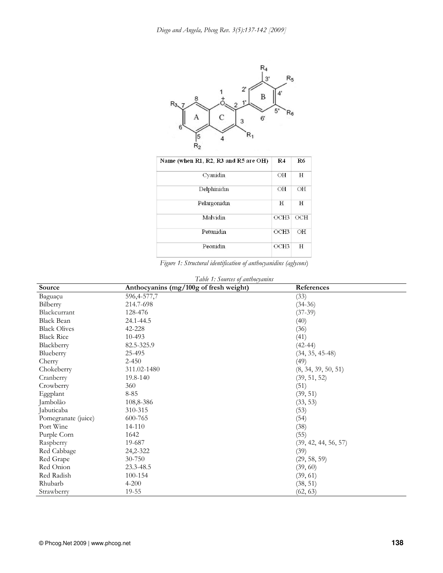

| Name (when R1, R2, R3 and R5 are OH) | R <sub>4</sub>   | R <sub>6</sub> |
|--------------------------------------|------------------|----------------|
| Cyanidin                             | OН               | Н              |
| Delphinidin                          | OН               | ΟH             |
| Pelargonidin                         | H                | H              |
| Malvidin                             | OCH3             | ОСН            |
| Petunidin                            | OCH <sub>3</sub> | OH             |
| Peonidin                             | OCH3             | Н              |

| Figure 1: Structural identification of anthocyanidins (aglycons) |  |  |
|------------------------------------------------------------------|--|--|
|                                                                  |  |  |

| Table 1: Sources of anthocyanins |                                        |                      |  |  |
|----------------------------------|----------------------------------------|----------------------|--|--|
| Source                           | Anthocyanins (mg/100g of fresh weight) | References           |  |  |
| Baguaçu                          | 596,4-577,7                            | (33)                 |  |  |
| Bilberry                         | 214.7-698                              | $(34-36)$            |  |  |
| Blackcurrant                     | 128-476                                | $(37-39)$            |  |  |
| <b>Black Bean</b>                | 24.1-44.5                              | (40)                 |  |  |
| <b>Black Olives</b>              | 42-228                                 | (36)                 |  |  |
| <b>Black Rice</b>                | $10 - 493$                             | (41)                 |  |  |
| Blackberry                       | 82.5-325.9                             | $(42 - 44)$          |  |  |
| Blueberry                        | 25-495                                 | $(34, 35, 45-48)$    |  |  |
| Cherry                           | $2 - 450$                              | (49)                 |  |  |
| Chokeberry                       | 311.02-1480                            | (8, 34, 39, 50, 51)  |  |  |
| Cranberry                        | 19.8-140                               | (39, 51, 52)         |  |  |
| Crowberry                        | 360                                    | (51)                 |  |  |
| Eggplant                         | $8 - 85$                               | (39, 51)             |  |  |
| Jambolão                         | 108,8-386                              | (33, 53)             |  |  |
| Jabuticaba                       | 310-315                                | (53)                 |  |  |
| Pomegranate (juice)              | 600-765                                | (54)                 |  |  |
| Port Wine                        | 14-110                                 | (38)                 |  |  |
| Purple Corn                      | 1642                                   | (55)                 |  |  |
| Raspberry                        | 19-687                                 | (39, 42, 44, 56, 57) |  |  |
| Red Cabbage                      | 24,2-322                               | (39)                 |  |  |
| Red Grape                        | 30-750                                 | (29, 58, 59)         |  |  |
| Red Onion                        | 23.3-48.5                              | (39, 60)             |  |  |
| Red Radish                       | 100-154                                | (39, 61)             |  |  |
| Rhubarb                          | $4 - 200$                              | (38, 51)             |  |  |
| Strawberry                       | 19-55                                  | (62, 63)             |  |  |

# © Phcog.Net 2009 | www.phcog.net **138**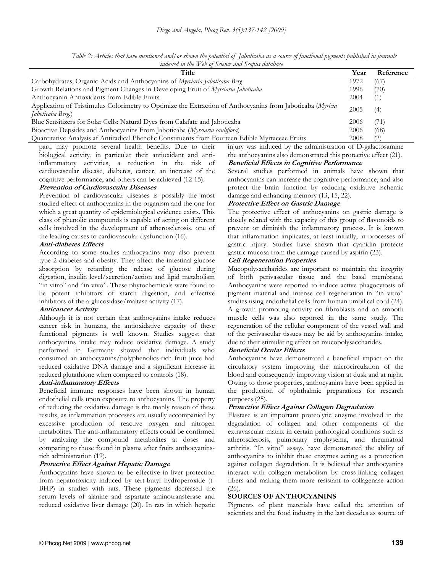Table 2: Articles that have mentioned and/or shown the potential of Jabuticaba as a source of functional pigments published in journals indexed in the Web of Science and Scopus database

| Title                                                                                                                           | Year | Reference |
|---------------------------------------------------------------------------------------------------------------------------------|------|-----------|
| Carbohydrates, Organic-Acids and Anthocyanins of Myrciaria-Jaboticaba-Berg                                                      | 1972 | (67)      |
| Growth Relations and Pigment Changes in Developing Fruit of Myrciaria Jaboticaba                                                | 1996 | (70)      |
| Anthocyanin Antioxidants from Edible Fruits                                                                                     | 2004 | (1)       |
| Application of Tristimulus Colorimetry to Optimize the Extraction of Anthocyanins from Jaboticaba (Myricia<br>Jaboticaba Berg.) | 2005 | (4)       |
| Blue Sensitizers for Solar Cells: Natural Dyes from Calafate and Jaboticaba                                                     | 2006 | (71)      |
| Bioactive Depsides and Anthocyanins From Jaboticaba (Myrciaria cauliflora)                                                      | 2006 | (68)      |
| Quantitative Analysis af Antiradical Phenolic Constituents from Fourteen Edible Myrtaceae Fruits                                | 2008 | (2)       |

part, may promote several health benefits. Due to their biological activity, in particular their antioxidant and antiinflammatory activities, a reduction in the risk of cardiovascular disease, diabetes, cancer, an increase of the cognitive performance, and others can be achieved (12-15).

#### Prevention of Cardiovascular Diseases

Prevention of cardiovascular diseases is possibly the most studied effect of anthocyanins in the organism and the one for which a great quantity of epidemiological evidence exists. This class of phenolic compounds is capable of acting on different cells involved in the development of atherosclerosis, one of the leading causes to cardiovascular dysfunction (16).

#### Anti-diabetes Effects

According to some studies anthocyanins may also prevent type 2 diabetes and obesity. They affect the intestinal glucose absorption by retarding the release of glucose during digestion, insulin level/secretion/action and lipid metabolism "in vitro" and "in vivo". These phytochemicals were found to be potent inhibitors of starch digestion, and effective inhibitors of the a-glucosidase/maltase activity (17).

## Anticancer Activity

Although it is not certain that anthocyanins intake reduces cancer risk in humans, the antioxidative capacity of these functional pigments is well known. Studies suggest that anthocyanins intake may reduce oxidative damage. A study performed in Germany showed that individuals who consumed an anthocyanins/polyphenolics-rich fruit juice had reduced oxidative DNA damage and a significant increase in reduced glutathione when compared to controls (18).

## Anti-inflammatory Effects

Beneficial immune responses have been shown in human endothelial cells upon exposure to anthocyanins. The property of reducing the oxidative damage is the manly reason of these results, as inflammation processes are usually accompanied by excessive production of reactive oxygen and nitrogen metabolites. The anti-inflammatory effects could be confirmed by analyzing the compound metabolites at doses and comparing to those found in plasma after fruits anthocyaninsrich administration (19).

#### Protective Effect Against Hepatic Damage

Anthocyanins have shown to be effective in liver protection from hepatotoxicity induced by tert-butyl hydroperoxide (t-BHP) in studies with rats. These pigments decreased the serum levels of alanine and aspartate aminotransferase and reduced oxidative liver damage (20). In rats in which hepatic

## Beneficial Effects in Cognitive Performance

Several studies performed in animals have shown that anthocyanins can increase the cognitive performance, and also protect the brain function by reducing oxidative ischemic damage and enhancing memory (13, 15, 22).

injury was induced by the administration of D-galactosamine the anthocyanins also demonstrated this protective effect (21).

## Protective Effect on Gastric Damage

The protective effect of anthocyanins on gastric damage is closely related with the capacity of this group of flavonoids to prevent or diminish the inflammatory process. It is known that inflammation implicates, at least initially, in processes of gastric injury. Studies have shown that cyanidin protects gastric mucosa from the damage caused by aspirin (23).

#### Cell Regeneration Properties

Mucopolysaccharides are important to maintain the integrity of both perivascular tissue and the basal membrane. Anthocyanins were reported to induce active phagocytosis of pigment material and intense cell regeneration in "in vitro" studies using endothelial cells from human umbilical cord (24). A growth promoting activity on fibroblasts and on smooth muscle cells was also reported in the same study. The regeneration of the cellular component of the vessel wall and of the perivascular tissues may be aid by anthocyanins intake, due to their stimulating effect on mucopolysaccharides.

#### Beneficial Ocular Effects

Anthocyanins have demonstrated a beneficial impact on the circulatory system improving the microcirculation of the blood and consequently improving vision at dusk and at night. Owing to those properties, anthocyanins have been applied in the production of ophthalmic preparations for research purposes (25).

#### Protective Effect Against Collagen Degradation

Elastase is an important proteolytic enzyme involved in the degradation of collagen and other components of the extravascular matrix in certain pathological conditions such as atherosclerosis, pulmonary emphysema, and rheumatoid arthritis. "In vitro" assays have demonstrated the ability of anthocyanins to inhibit these enzymes acting as a protection against collagen degradation. It is believed that anthocyanins interact with collagen metabolism by cross-linking collagen fibers and making them more resistant to collagenase action (26).

#### SOURCES OF ANTHOCYANINS

Pigments of plant materials have called the attention of scientists and the food industry in the last decades as source of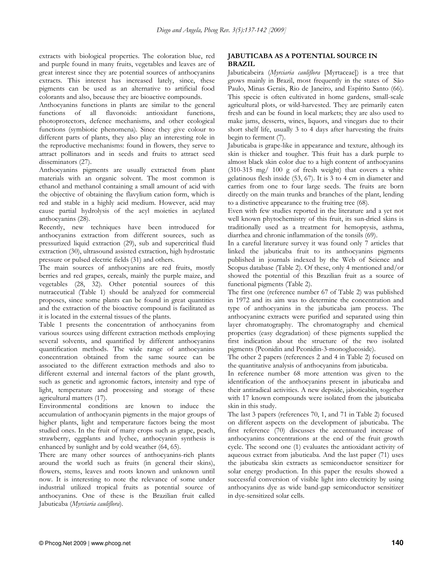extracts with biological properties. The coloration blue, red and purple found in many fruits, vegetables and leaves are of great interest since they are potential sources of anthocyanins extracts. This interest has increased lately, since, these pigments can be used as an alternative to artificial food colorants and also, because they are bioactive compounds.

Anthocyanins functions in plants are similar to the general functions of all flavonoids: antioxidant functions, photoprotectors, defence mechanisms, and other ecological functions (symbiotic phenomena). Since they give colour to different parts of plants, they also play an interesting role in the reproductive mechanisms: found in flowers, they serve to attract pollinators and in seeds and fruits to attract seed disseminators (27).

Anthocyanins pigments are usually extracted from plant materials with an organic solvent. The most common is ethanol and methanol containing a small amount of acid with the objective of obtaining the flavylium cation form, which is red and stable in a highly acid medium. However, acid may cause partial hydrolysis of the acyl moieties in acylated anthocyanins (28).

Recently, new techniques have been introduced for anthocyanins extraction from different sources, such as pressurized liquid extraction (29), sub and supercritical fluid extraction (30), ultrasound assisted extraction, high hydrostatic pressure or pulsed electric fields (31) and others.

The main sources of anthocyanins are red fruits, mostly berries and red grapes, cereals, mainly the purple maize, and vegetables (28, 32). Other potential sources of this nutraceutical (Table 1) should be analyzed for commercial proposes, since some plants can be found in great quantities and the extraction of the bioactive compound is facilitated as it is located in the external tissues of the plants.

Table 1 presents the concentration of anthocyanins from various sources using different extraction methods employing several solvents, and quantified by different anthocyanins quantification methods. The wide range of anthocyanins concentration obtained from the same source can be associated to the different extraction methods and also to different external and internal factors of the plant growth, such as genetic and agronomic factors, intensity and type of light, temperature and processing and storage of these agricultural matters (17).

Environmental conditions are known to induce the accumulation of anthocyanin pigments in the major groups of higher plants, light and temperature factors being the most studied ones. In the fruit of many crops such as grape, peach, strawberry, eggplants and lychee, anthocyanin synthesis is enhanced by sunlight and by cold weather (64, 65).

There are many other sources of anthocyanins-rich plants around the world such as fruits (in general their skins), flowers, stems, leaves and roots known and unknown until now. It is interesting to note the relevance of some under industrial utilized tropical fruits as potential source of anthocyanins. One of these is the Brazilian fruit called Jabuticaba (Myrciaria cauliflora).

## JABUTICABA AS A POTENTIAL SOURCE IN BRAZIL

Jabuticabeira (Myrciaria cauliflora [Myrtaceae]) is a tree that grows mainly in Brazil, most frequently in the states of São Paulo, Minas Gerais, Rio de Janeiro, and Espírito Santo (66). This specie is often cultivated in home gardens, small-scale agricultural plots, or wild-harvested. They are primarily eaten fresh and can be found in local markets; they are also used to make jams, desserts, wines, liquors, and vinegars due to their short shelf life, usually 3 to 4 days after harvesting the fruits begin to ferment (7).

Jabuticaba is grape-like in appearance and texture, although its skin is thicker and tougher. This fruit has a dark purple to almost black skin color due to a high content of anthocyanins  $(310-315 \text{ mg} / 100 \text{ g}$  of fresh weight) that covers a white gelatinous flesh inside (53, 67). It is 3 to 4 cm in diameter and carries from one to four large seeds. The fruits are born directly on the main trunks and branches of the plant, lending to a distinctive appearance to the fruiting tree (68).

Even with few studies reported in the literature and a yet not well known phytochemistry of this fruit, its sun-dried skins is traditionally used as a treatment for hemoptysis, asthma, diarrhea and chronic inflammation of the tonsils (69).

In a careful literature survey it was found only 7 articles that linked the jabuticaba fruit to its anthocyanins pigments published in journals indexed by the Web of Science and Scopus database (Table 2). Of these, only 4 mentioned and/or showed the potential of this Brazilian fruit as a source of functional pigments (Table 2).

The first one (reference number 67 of Table 2) was published in 1972 and its aim was to determine the concentration and type of anthocyanins in the jabuticaba jam process. The anthocyaninc extracts were purified and separated using thin layer chromatography. The chromatography and chemical properties (easy degradation) of these pigments supplied the first indication about the structure of the two isolated pigments (Peonidin and Peonidin-3-monoglucoside).

The other 2 papers (references 2 and 4 in Table 2) focused on the quantitative analysis of anthocyanins from jabuticaba.

In reference number 68 more attention was given to the identification of the anthocyanins present in jabuticaba and their antiradical activities. A new depside, jaboticabin, together with 17 known compounds were isolated from the jabuticaba skin in this study.

The last 3 papers (references 70, 1, and 71 in Table 2) focused on different aspects on the development of jabuticaba. The first reference (70) discusses the accentuated increase of anthocyanins concentrations at the end of the fruit growth cycle. The second one (1) evaluates the antioxidant activity of aqueous extract from jabuticaba. And the last paper (71) uses the jabuticaba skin extracts as semiconductor sensitizer for solar energy production. In this paper the results showed a successful conversion of visible light into electricity by using anthocyanins dye as wide band-gap semiconductor sensitizer in dye-sensitized solar cells.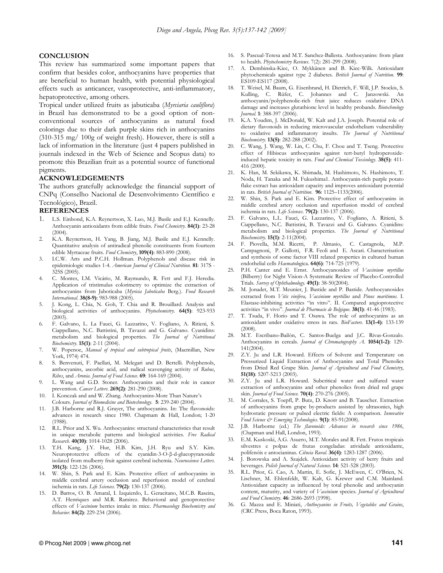## **CONCLUSION**

This review has summarized some important papers that confirm that besides color, anthocyanins have properties that are beneficial to human health, with potential physiological effects such as anticancer, vasoprotective, anti-inflammatory, hepatoprotective, among others.

Tropical under utilized fruits as jabuticaba (Myrciaria cauliflora) in Brazil has demonstrated to be a good option of nonconventional sources of anthocyanins as natural food colorings due to their dark purple skins rich in anthocyanins (310-315 mg/ 100g of weight fresh). However, there is still a lack of information in the literature (just 4 papers published in journals indexed in the Web of Science and Scopus data) to promote this Brazilian fruit as a potential source of functional pigments.

#### ACKNOWLEDGEMENTS

The authors gratefully acknowledge the financial support of CNPq (Conselho Nacional de Desenvolvimento Científico e Tecnológico), Brazil.

#### REFERENCES

- 1. L.S. Einbond, K.A. Reynertson, X. Luo, M.J. Basile and E.J. Kennelly. Anthocyanin antioxidants from edible fruits. Food Chemistry. 84(1): 23-28 (2004).
- 2. K.A. Reynertson, H. Yang, B. Jiang, M.J. Basile and E.J. Kennelly. Quantitative analysis of antiradical phenolic constituents from fourteen edible Myrtaceae fruits. Food Chemistry, 109(4): 883-890 (2008).
- 3. I.C.W. Arts and P.C.H. Hollman. Polyphenols and disease risk in epidemiologic studies 1-4. American Journal of Clinical Nutrition. 81: 317S -325S (2005).
- 4. C. Montes, I.M. Vicário, M. Raymundo, R. Fett and F.J. Heredia. Application of tristimulus colorimetry to optimize the extraction of anthocyanins from Jaboticaba (Myricia Jaboticaba Berg.). Food Research International. 38(8-9): 983-988 (2005).
- 5. J. Kong, L. Chia, N. Goh, T. Chia and R. Brouillard. Analysis and biological activities of anthocyanins. Phytochemistry. 64(5): 923-933  $(2003)$ .
- 6. F. Galvano, L. La Fauci, G. Lazzarino, V. Fogliano, A. Ritieni, S. Ciappellano, N.C. Battistini, B. Tavazzi and G. Galvano. Cyanidins: metabolism and biological properties. The Journal of Nutritional Biochemistry. 15(1): 2-11 (2004).
- 7. W. Popenoe, Manual of tropical and subtropical fruits, (Macmillan, New York, 1974) 474.
- 8. S. Benvenuti, F. Paellati, M. Melegari and D. Bertelli. Polyphenols, anthocyanins, ascorbic acid, and radical scavenging activity of Rubus, Ribes, and Aronia. Journal of Food Science. 69: 164-169 (2004).
- 9. L. Wang and G.D. Stoner. Anthocyanins and their role in cancer prevention. Cancer Letters. 269(2): 281-290 (2008).
- 10. I. Konczak and and W. Zhang. Anthocyanins-More Than Nature's Colours. Journal of Biomedicine and Biotechnology. 5: 239-240 (2004).
- 11. J.B. Harborne and R.J. Grayer, The anthocyanins. In: The flavonoids: advances in research since 1980. Chapmam & Hall, London; 1-20 (1988).
- 12. R.L. Prior and X. Wu. Anthocyanins: structural characteristics that result in unique metabolic patterns and biological activities. Free Radical Research. 40(10): 1014-1028 (2006).
- 13. T.H. Kang, J.Y. Hur, H.B. Kim, J.H. Ryu and S.Y. Kim. Neuroprotective effects of the cyanidin-3-O-β-d-glucopyranoside isolated from mulberry fruit against cerebral ischemia. Neuroscience Letters. 391(3): 122-126 (2006).
- 14. W. Shin, S. Park and E. Kim. Protective effect of anthocyanins in middle cerebral artery occlusion and reperfusion model of cerebral ischemia in rats. Life Sciences. 79(2): 130-137 (2006).
- 15. D. Barros, O. B. Amaral, I. Izquierdo, L. Geracitano, M.C.B. Raseira, A.T. Henriques and M.R. Ramirez. Behavioral and genoprotective effects of *Vaccinium* berries intake in mice. Pharmacology Biochemistry and Behavior. 84(2): 229-234 (2006).
- 16. S. Pascual-Teresa and M.T. Sanchez-Ballesta. Anthocyanins: from plant to health. Phytochemistry Reviews. 7(2): 281-299 (2008).
- 17. A. Dembinska-Kiec, O. Mykkänen and B. Kiec-Wilk. Antioxidant phytochemicals against type 2 diabetes. British Journal of Nutrition. 99: ES109-ES117 (2008).
- 18. T. Weisel, M. Baum, G. Eisenbrand, H. Dietrich, F. Will, J.P. Stockis, S. Kulling, C. Rüfer, C. Johannes and C. Janzowski. An anthocyanin/polyphenolic-rich fruit juice reduces oxidative DNA damage and increases glutathione level in healthy probands. Biotechnology Journal. 1: 388-397 (2006).
- 19. K.A. Youdim, J. McDonald, W. Kalt and J.A. Joseph. Potential role of dietary flavonoids in reducing microvascular endothelium vulnerability to oxidative and inflammatory insults. The Journal of Nutritional Biochemistry. 13(5): 282-288 (2002).
- 20. C. Wang, J. Wang, W. Lin, C. Chu, F. Chou and T. Tseng. Protective effect of Hibiscus anthocyanins against tert-butyl hydroperoxideinduced hepatic toxicity in rats. Food and Chemical Toxicology. 38(5): 411-416 (2000).
- 21. K. Han, M. Sekikawa, K. Shimada, M. Hashimoto, N. Hashimoto, T. Noda, H. Tanaka and M. Fukushima1. Anthocyanin-rich purple potato flake extract has antioxidant capacity and improves antioxidant potential in rats. British Journal of Nutrition.  $96: 1125-1133(2006)$ .
- 22. W. Shin, S. Park and E. Kim. Protective effect of anthocyanins in middle cerebral artery occlusion and reperfusion model of cerebral ischemia in rats. Life Sciences. 79(2): 130-137 (2006).
- 23. F. Galvano, L.L. Fauci, G. Lazzarino, V. Fogliano, A. Ritieni, S. Ciappellano, N.C. Battistini, B. Tavazzi and G. Galvano. Cyanidins: metabolism and biological properties. The Journal of Nutritional Biochemistry. 15(1): 2-11(2004).
- 24. F. Piovella, M.M. Ricetti, P. Almasio, C. Castagnola, M.P. Campagnoni, P. Gallotti, F.R. Feoli and E. Ascari. Characterisation and synthesis of some factor VIII related properties in cultured human endothelial cells Haematologica. 64(6): 714-725 (1979).
- 25. P.H. Canter and E. Ernst. Anthocyanosides of Vaccinium myrtillus (Bilberry) for Night Vision-A Systematic Review of Placebo-Controlled Trials. Survey of Ophthalmology. 49(1): 38-50(2004).
- 26. M. Jonadet, M.T. Meunier, J. Bastide and P. Bastide. Anthocyanosides extracted from Vitis vinifera, Vaccinium myrtillus and Pinus maritimus. I. Elastase-inhibiting activities "in vitro". II. Compared angioprotective activities "in vivo". Journal de Pharmacie de Belgique. 38(1): 41-46 (1983).
- 27. T. Tsuda, F. Horio and T. Osawa. The role of anthocyanins as an antioxidant under oxidative stress in rats. BioFactors. 13(1-4): 133-139 (2008).
- 28. M.T. Escribano-Bailón, C. Santos-Buelga and J.C. Rivas-Gonzalo. Anthocyanins in cereals. Journal of Chromatography A. 1054(1-2): 129-141(2004).
- 29. Z.Y. Ju and L.R. Howard. Effects of Solvent and Temperature on Pressurized Liquid Extraction of Anthocyanins and Total Phenolics from Dried Red Grape Skin. Journal of Agricultural and Food Chemistry, 51(18): 5207-5213 (2003).
- 30. Z.Y. Ju and L.R. Howard. Subcritical water and sulfured water extraction of anthocyanins and other phenolics from dried red grape skin. Journal of Food Science. 70(4): 270-276 (2005).
- 31. M. Corrales, S. Toepfl, P. Butz, D. Knorr and B. Tauscher. Extraction of anthocyanins from grape by-products assisted by ultrasonics, high hydrostatic pressure or pulsed electric fields: A comparison. Innovative Food Science & Emerging Technologies. 9(1): 85-91(2008).
- 32. J.B. Harborne (ed.) The flavonoids: Advances in research since 1986, (Chapman and Hall, London, 1993).
- 33. E.M. Kuskoski, A.G. Asuero, M.T. Morales and R. Fett. Frutos tropicais silvestres e polpas de frutas congeladas: atividade antioxidante, polifenóis e antocianinas. Ciência Rural. 36(4): 1283-1287 (2006).
- 34. J. Borowska and A. Szajdek. Antioxidant activity of berry fruits and beverages. Polish Journal of Natural Science. 14: 521-528 (2003).
- 35. R.L. Prior, G. Cao, A. Martin, E. Sofic, J. McEwen, C. O'Brien, N. Lischner, M. Ehlenfeldt, W. Kalt, G. Krewer and C.M. Mainland. Antioxidant capacity as influenced by total phenolic and anthocyanin content, maturity, and variety of Vaccinium species. Journal of Agricultural and Food Chemistry. 46: 2686-2693 (1998).
- 36. G. Mazza and E. Miniati, Anthocyanins in Fruits, Vegetables and Grains, (CRC Press, Boca Raton, 1993).